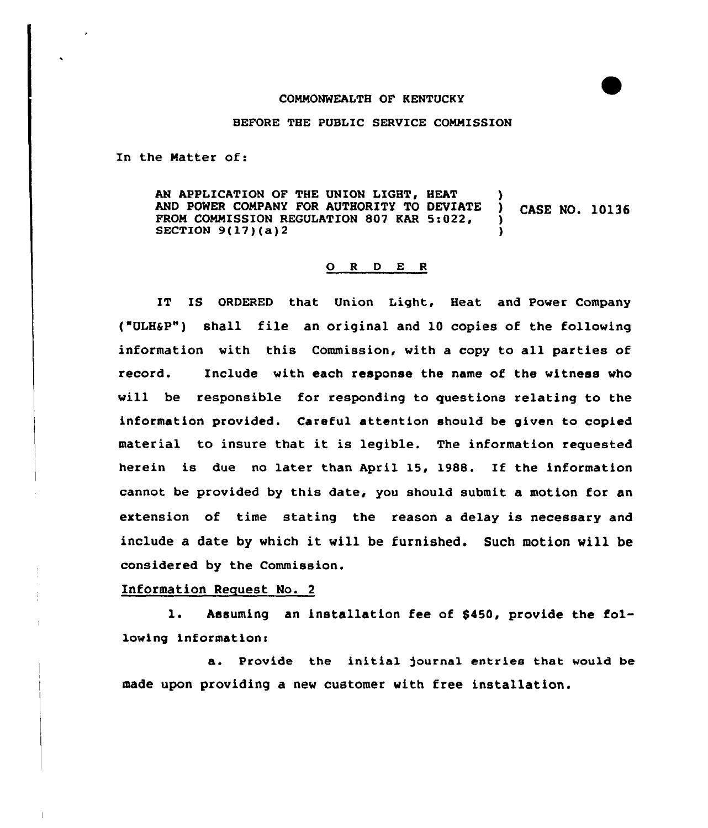## COMMONWEALTH OF KENTUCKY

## BEFORE THE PUBLIC SERVICE COMMISSION

In the Natter of:

AN APPLICATION OF THE UNION LIGHT, HEAT AND POWER COMPANY FOR AUTHORITY TO DEVIATE ) CASE NO. 10136 FROM COMMISSION REGULATION 807 KAR 5:022, SECTION  $9(17)(a)$ <sup>2</sup>

## 0 <sup>R</sup> <sup>D</sup> <sup>E</sup> <sup>R</sup>

IT IS ORDERED that Union Light, Heat and Power Company ("ULH&P") shall file an original and 10 copies of the following information vith this Commission, vith a copy to all parties of record. Include with each response the name of the vitness vho vill be responsible for responding to questions relating to the information provided. Careful attention should be given to copied material to insure that it is legible. The information requested herein is due no later than April 15, 1988. If the information cannot be provided by this date, you should submit a motion for an extension of time stating the reason a delay is necessary and include <sup>a</sup> date by which it will be furnished. Such motion vill be considered by the Commission.

## Information Request No. 2

l. Assuming an installation fee of \$450, provide the following information:

a. Provide the initial )ournal entries that would be made upon providing a new customer vith free installation.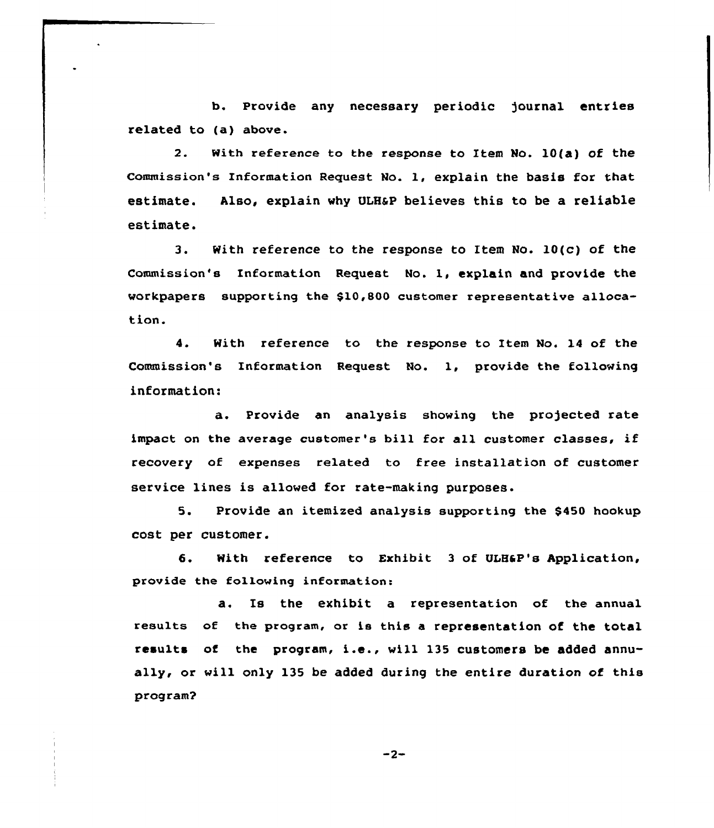b. Provide any necessary periodic )ournal entries related to (a) above.

2. with reference ta the response to Item No. 10(a) of the Commission's Information Request No. 1, explain the basis for that estimate. Also, explain why QLH&P believes this to be a reliable estimate.

3. With reference to the response to Item No. 10(c) of the Commission's Information Request No. 1, explain and provide the workpapers supporting the \$10,8QO customer representative allocation.

4. With reference to the response ta Item No. 14 of the Commission's Information Request No. 1, provide the following information:

a. Provide an analysis showing the projected rate impact on the average customer's bill for all customer classes, if recovery of expenses related to free installation of customer service lines is allowed for rate-making purposes.

5. Provide an itemized analysis supporting the \$450 hookup cost per customer.

S. With reference to Exhibit <sup>3</sup> of UIH6P's Application, provide the following information:

a. Is the exhibit a representation of the annual results of the program, or is this a representation of the total results of the program, i.e., will 135 customers be added annually, or will only 135 be added during the entire duration of this program?

 $-2-$